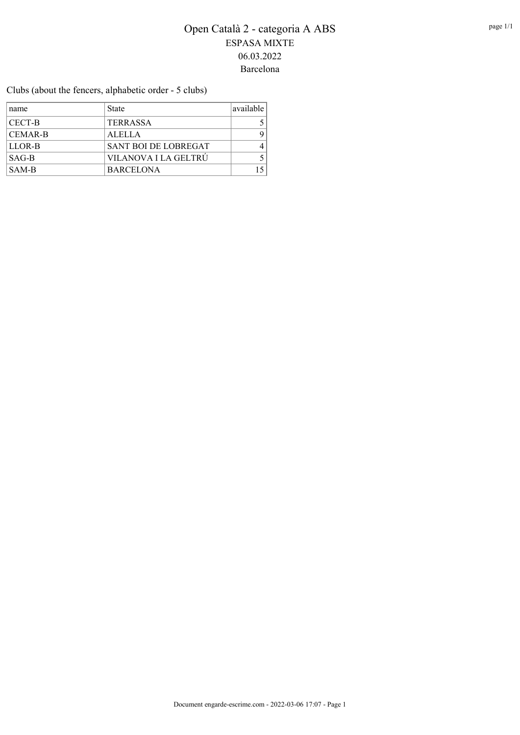Clubs (about the fencers, alphabetic order - 5 clubs)

| name           | <b>State</b>         | available |
|----------------|----------------------|-----------|
| <b>CECT-B</b>  | <b>TERRASSA</b>      |           |
| <b>CEMAR-B</b> | <b>ALELLA</b>        | Q         |
| LLOR-B         | SANT BOI DE LOBREGAT |           |
| $SAG-B$        | VILANOVA I LA GELTRÚ |           |
| SAM-B          | <b>BARCELONA</b>     |           |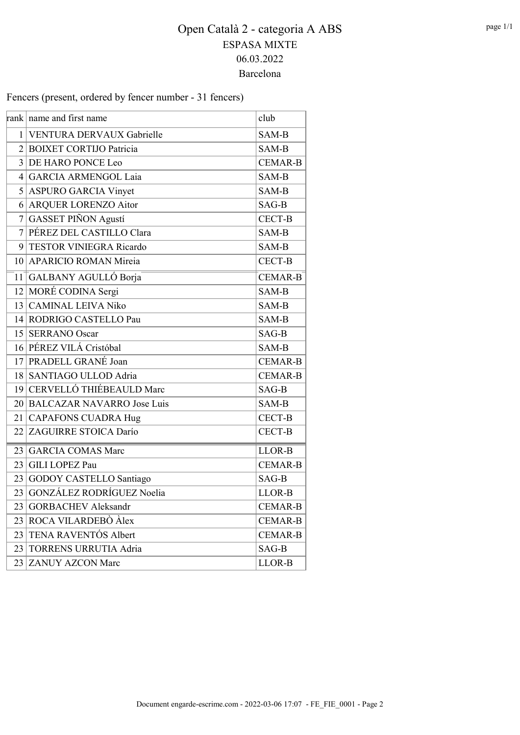Fencers (present, ordered by fencer number - 31 fencers)

|                 | rank   name and first name    | club           |
|-----------------|-------------------------------|----------------|
|                 | 1 VENTURA DERVAUX Gabrielle   | SAM-B          |
|                 | 2 BOIXET CORTIJO Patricia     | SAM-B          |
|                 | 3 DE HARO PONCE Leo           | <b>CEMAR-B</b> |
| $\vert 4 \vert$ | <b>GARCIA ARMENGOL Laia</b>   | SAM-B          |
|                 | 5 ASPURO GARCIA Vinyet        | SAM-B          |
|                 | 6 ARQUER LORENZO Aitor        | SAG-B          |
| $\tau$          | <b>GASSET PIÑON Agustí</b>    | CECT-B         |
| 7 <sup>1</sup>  | PÉREZ DEL CASTILLO Clara      | SAM-B          |
|                 | 9 TESTOR VINIEGRA Ricardo     | SAM-B          |
|                 | 10 APARICIO ROMAN Mireia      | <b>CECT-B</b>  |
|                 | 11 GALBANY AGULLÓ Borja       | <b>CEMAR-B</b> |
|                 | 12 MORÉ CODINA Sergi          | SAM-B          |
|                 | 13 CAMINAL LEIVA Niko         | SAM-B          |
|                 | 14 RODRIGO CASTELLO Pau       | SAM-B          |
|                 | 15 SERRANO Oscar              | SAG-B          |
|                 | 16 PÉREZ VILÁ Cristóbal       | SAM-B          |
|                 | 17 PRADELL GRANÉ Joan         | <b>CEMAR-B</b> |
|                 | 18 SANTIAGO ULLOD Adria       | <b>CEMAR-B</b> |
|                 | 19 CERVELLÓ THIÉBEAULD Marc   | SAG-B          |
|                 | 20 BALCAZAR NAVARRO Jose Luis | SAM-B          |
|                 | 21 CAPAFONS CUADRA Hug        | <b>CECT-B</b>  |
|                 | 22 ZAGUIRRE STOICA Darío      | <b>CECT-B</b>  |
| 23              | <b>GARCIA COMAS Marc</b>      | LLOR-B         |
| 23              | <b>GILI LOPEZ Pau</b>         | <b>CEMAR-B</b> |
| 23              | GODOY CASTELLO Santiago       | SAG-B          |
| 23              | GONZÁLEZ RODRÍGUEZ Noelia     | LLOR-B         |
| 23              | <b>GORBACHEV Aleksandr</b>    | CEMAR-B        |
| 23              | ROCA VILARDEBÒ Àlex           | <b>CEMAR-B</b> |
| 23              | TENA RAVENTÓS Albert          | <b>CEMAR-B</b> |
| 23              | <b>TORRENS URRUTIA Adria</b>  | SAG-B          |
| 23              | <b>ZANUY AZCON Marc</b>       | LLOR-B         |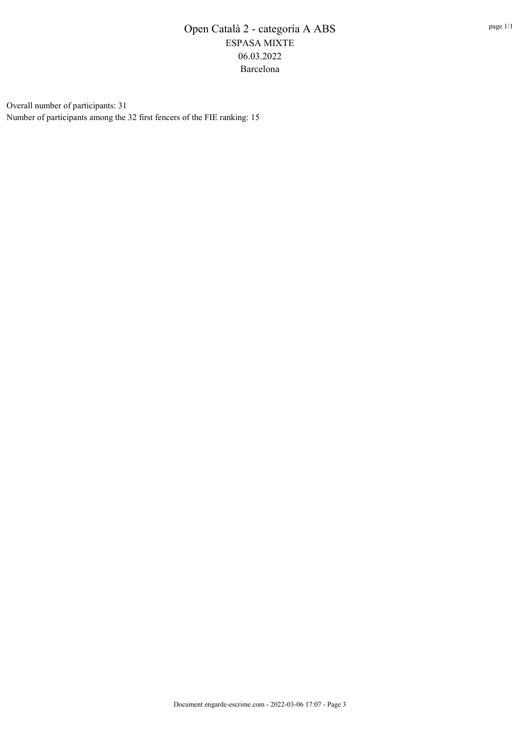Overall number of participants: 31 Number of participants among the 32 first fencers of the FIE ranking: 15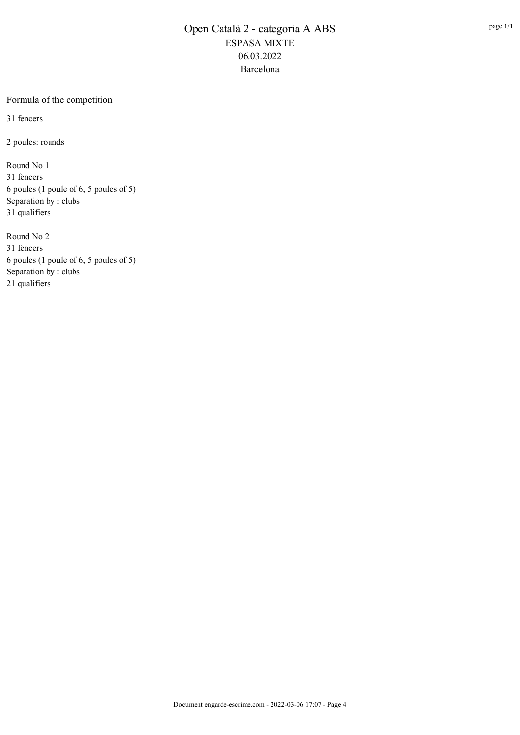#### Formula of the competition

31 fencers

2 poules: rounds

Round No 1 31 fencers 6 poules (1 poule of 6, 5 poules of 5) Separation by : clubs 31 qualifiers

Round No 2 31 fencers 6 poules (1 poule of 6, 5 poules of 5) Separation by : clubs 21 qualifiers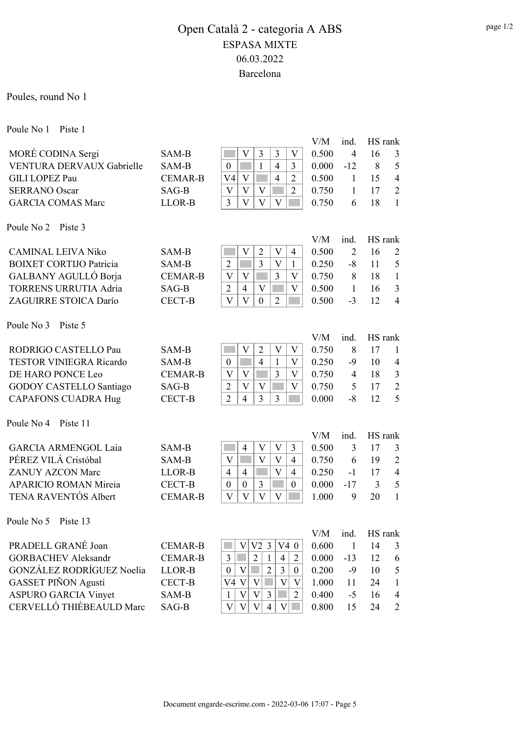Poules, round No 1

Poule No 1 Piste 1

|                                |                                  |                                                                                                         | V/M            | ind.           | HS rank       |                |
|--------------------------------|----------------------------------|---------------------------------------------------------------------------------------------------------|----------------|----------------|---------------|----------------|
| MORÉ CODINA Sergi              | SAM-B                            | 3<br>3<br>$\mathbf{V}$<br>$\mathbf{V}$                                                                  | 0.500          | $\overline{4}$ | 16            | 3              |
| VENTURA DERVAUX Gabrielle      | SAM-B                            | $\mathbf{1}$<br>$\overline{4}$<br>$\boldsymbol{0}$<br>3                                                 | 0.000          | $-12$          | 8             | 5              |
| <b>GILI LOPEZ Pau</b>          | <b>CEMAR-B</b>                   | $\overline{4}$<br>V <sub>4</sub><br>V<br>$\overline{2}$                                                 | 0.500          | $\mathbf{1}$   | 15            | $\overline{4}$ |
| <b>SERRANO Oscar</b>           | SAG-B                            | $\mathbf{V}$<br>V<br>$\overline{2}$<br>$\mathbf V$                                                      | 0.750          | 1              | 17            | $\overline{2}$ |
| <b>GARCIA COMAS Marc</b>       | LLOR-B                           | V<br>$\overline{3}$<br>V<br>V                                                                           | 0.750          | 6              | 18            | $\mathbf{1}$   |
|                                |                                  |                                                                                                         |                |                |               |                |
| Poule No 2<br>Piste 3          |                                  |                                                                                                         | V/M            | ind.           | HS rank       |                |
| <b>CAMINAL LEIVA Niko</b>      | SAM-B                            | V<br>$\mathbf{V}$<br>$\overline{2}$<br>4                                                                | 0.500          | $\overline{2}$ | 16            | $\overline{2}$ |
| <b>BOIXET CORTIJO Patricia</b> | SAM-B                            | $\overline{3}$<br>$\overline{2}$<br>$\overline{\mathsf{V}}$<br>1                                        | 0.250          | $-8$           | 11            | 5              |
| GALBANY AGULLÓ Borja           | <b>CEMAR-B</b>                   | 3<br>V<br>V<br>$\mathbf{V}$                                                                             | 0.750          | 8              | 18            | $\mathbf{1}$   |
| <b>TORRENS URRUTIA Adria</b>   | SAG-B                            | $\overline{2}$<br>$\overline{4}$<br>V<br>$\overline{\mathsf{V}}$                                        | 0.500          | $\mathbf{1}$   | 16            | $\mathfrak{Z}$ |
| ZAGUIRRE STOICA Darío          | <b>CECT-B</b>                    | $\bar{V}$<br>$\overline{\mathbf{V}}$<br>$\overline{0}$<br>$\overline{2}$                                | 0.500          | $-3$           | 12            | $\overline{4}$ |
|                                |                                  |                                                                                                         |                |                |               |                |
| Poule No 3<br>Piste 5          |                                  |                                                                                                         |                |                |               |                |
|                                |                                  |                                                                                                         | V/M            | ind.           | HS rank       |                |
| RODRIGO CASTELLO Pau           | SAM-B                            | $\mathbf{V}$<br>$\overline{2}$<br>$\overline{\mathsf{V}}$<br>V                                          | 0.750          | 8              | 17            | 1              |
| <b>TESTOR VINIEGRA Ricardo</b> | SAM-B                            | $\overline{4}$<br>$\mathbf{1}$<br>$\mathbf{V}$<br>$\boldsymbol{0}$                                      | 0.250          | $-9$           | 10            | $\overline{4}$ |
| DE HARO PONCE Leo              | <b>CEMAR-B</b>                   | 3<br>V<br>$\rm V$<br>$\mathbf{V}$                                                                       | 0.750          | $\overline{4}$ | 18            | $\overline{3}$ |
| <b>GODOY CASTELLO Santiago</b> | $SAG-B$                          | V<br>$\overline{2}$<br>V<br>$\mathbf{V}$                                                                | 0.750          | 5              | 17            | $\overline{2}$ |
| <b>CAPAFONS CUADRA Hug</b>     | <b>CECT-B</b>                    | $\overline{3}$<br>$\overline{3}$<br>$\overline{2}$<br>$\overline{4}$                                    | 0.000          | $-8$           | 12            | 5              |
| Poule No 4<br>Piste 11         |                                  |                                                                                                         |                |                |               |                |
|                                |                                  |                                                                                                         | V/M            | ind.           | HS rank       |                |
| <b>GARCIA ARMENGOL Laia</b>    | SAM-B                            | 3<br>$\overline{4}$<br>V<br>V                                                                           | 0.500          | 3              | 17            | 3              |
| PÉREZ VILÁ Cristóbal           | SAM-B                            | V<br>V<br>V<br>$\overline{4}$                                                                           | 0.750          | 6              | 19            | $\overline{2}$ |
| <b>ZANUY AZCON Marc</b>        | LLOR-B                           | $\overline{4}$<br>$\overline{4}$<br>$\overline{V}$<br>4                                                 | 0.250          | $-1$           | 17            | $\overline{4}$ |
| <b>APARICIO ROMAN Mireia</b>   | <b>CECT-B</b>                    | 3<br>$\boldsymbol{0}$<br>$\boldsymbol{0}$<br>$\boldsymbol{0}$                                           | 0.000          | $-17$          | 3             | 5              |
| <b>TENA RAVENTÓS Albert</b>    | <b>CEMAR-B</b>                   | $\overline{\mathsf{V}}$<br>$\mathbf{V}$<br>V<br>V                                                       | 1.000          | 9              | 20            | $\mathbf{1}$   |
|                                |                                  |                                                                                                         |                |                |               |                |
| Poule No 5 Piste 13            |                                  |                                                                                                         |                |                |               |                |
| PRADELL GRANÉ Joan             |                                  |                                                                                                         | V/M            | ind.           | HS rank<br>14 |                |
| <b>GORBACHEV Aleksandr</b>     | <b>CEMAR-B</b><br><b>CEMAR-B</b> | V2 <sub>3</sub><br>V4 0<br>V<br>$\overline{2}$<br>3<br>$\mathbf{1}$<br>$\overline{4}$<br>$\overline{2}$ | 0.600<br>0.000 | $\mathbf{1}$   | 12            | 3              |
| GONZÁLEZ RODRÍGUEZ Noelia      |                                  |                                                                                                         |                | $-13$          |               | 6              |
|                                | LLOR-B                           | $\boldsymbol{0}$<br>V<br>$\overline{2}$<br>$\overline{3}$<br>$\boldsymbol{0}$                           | 0.200          | $-9$           | 10            | $\mathfrak s$  |
| <b>GASSET PIÑON Agustí</b>     | <b>CECT-B</b>                    | $\overline{\mathrm{V}}$<br>$\overline{\mathrm{V}}$<br>V4 V<br>$\mathbf{V}$                              | 1.000          | 11             | 24            | $\mathbf{1}$   |
| <b>ASPURO GARCIA Vinyet</b>    | SAM-B                            | $\overline{V}$<br>$\overline{3}$<br>$\mathbf{V}$<br>$\overline{2}$<br>$\mathbf{1}$                      | 0.400          | $-5$           | 16            | 4              |
| CERVELLÓ THIÉBEAULD Marc       | SAG-B                            | $\mathbf V$<br>V<br>$\mathbf V$<br>V<br>$\overline{4}$                                                  | 0.800          | 15             | 24            | $\overline{2}$ |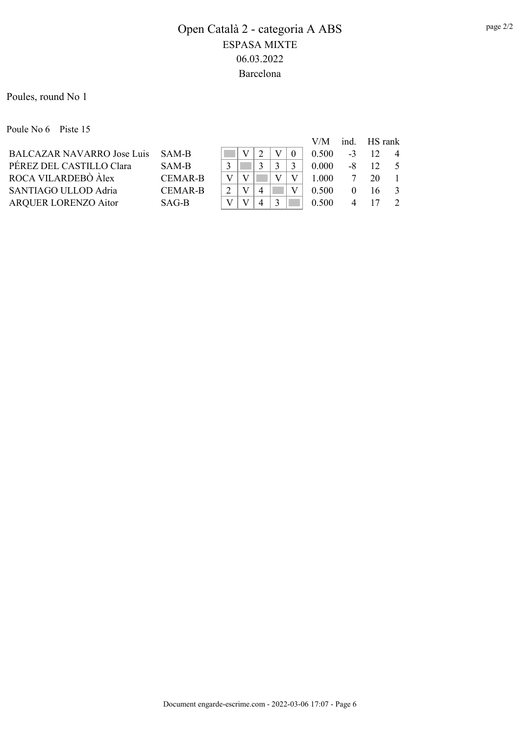Poules, round No 1

Poule No 6 Piste 15

|                                  |                |  |  | V/M   | ind. HS rank   |         |                |
|----------------------------------|----------------|--|--|-------|----------------|---------|----------------|
| BALCAZAR NAVARRO Jose Luis SAM-B |                |  |  | 0.500 | $-3$           | 12      | $\overline{4}$ |
| PÉREZ DEL CASTILLO Clara         | SAM-B          |  |  | 0.000 |                | $-8$ 12 | $\sim$ 5       |
| ROCA VILARDEBÒ Àlex              | <b>CEMAR-B</b> |  |  | 1.000 |                | 20      |                |
| SANTIAGO ULLOD Adria             | <b>CEMAR-B</b> |  |  | 0.500 | $\Omega$       | 16      | $\mathcal{R}$  |
| <b>ARQUER LORENZO Aitor</b>      | SAG-B          |  |  | 0.500 | $\overline{4}$ | -17     | $\overline{2}$ |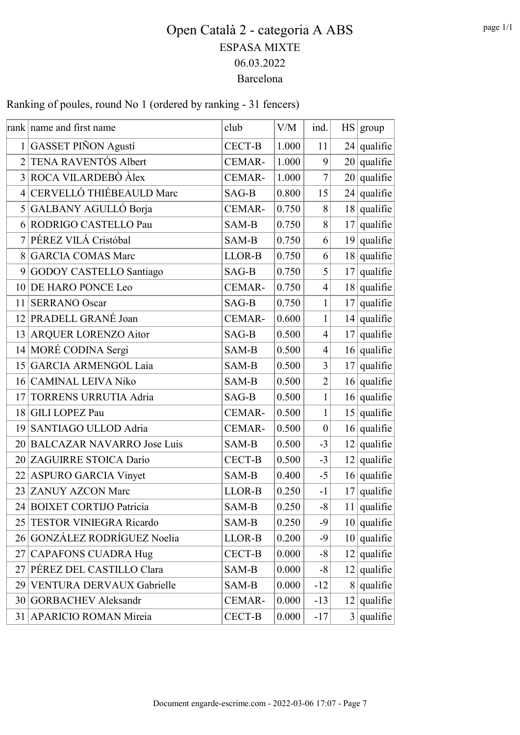Ranking of poules, round No 1 (ordered by ranking - 31 fencers)

|                 | rank name and first name      | club          | V/M   | ind.             | HS   group             |
|-----------------|-------------------------------|---------------|-------|------------------|------------------------|
|                 | 1 GASSET PIÑON Agustí         | CECT-B        | 1.000 | 11               | $24$ qualifie          |
| $\overline{2}$  | TENA RAVENTÓS Albert          | <b>CEMAR-</b> | 1.000 | 9                | $20$ qualifie          |
|                 | 3 ROCA VILARDEBÒ Àlex         | <b>CEMAR-</b> | 1.000 | $\tau$           | $20$ qualifie          |
| $\vert 4 \vert$ | CERVELLÓ THIÉBEAULD Marc      | SAG-B         | 0.800 | 15               | $24$ qualifie          |
|                 | 5 GALBANY AGULLÓ Borja        | <b>CEMAR-</b> | 0.750 | 8                | $18  $ qualifie        |
| 6               | RODRIGO CASTELLO Pau          | SAM-B         | 0.750 | 8                | $17$ qualifie          |
| $\tau$          | PÉREZ VILÁ Cristóbal          | SAM-B         | 0.750 | 6                | $19$ qualifie          |
| 8               | <b>GARCIA COMAS Marc</b>      | LLOR-B        | 0.750 | 6                | $18  $ qualifie        |
| 9 <sup>1</sup>  | GODOY CASTELLO Santiago       | SAG-B         | 0.750 | 5                | $17$ qualifie          |
| 10 <sup>1</sup> | DE HARO PONCE Leo             | CEMAR-        | 0.750 | $\overline{4}$   | $18  $ qualifie        |
| 11              | <b>SERRANO</b> Oscar          | SAG-B         | 0.750 | 1                | $17$ qualifie          |
|                 | 12 PRADELL GRANÉ Joan         | CEMAR-        | 0.600 | $\mathbf{1}$     | $14  $ qualifie        |
|                 | 13 ARQUER LORENZO Aitor       | SAG-B         | 0.500 | $\overline{4}$   | $17$ qualifie          |
|                 | 14 MORÉ CODINA Sergi          | SAM-B         | 0.500 | $\overline{4}$   | $16  $ qualifie        |
|                 | 15 GARCIA ARMENGOL Laia       | SAM-B         | 0.500 | 3                | $17$ qualifie          |
| 16 <sup>2</sup> | <b>CAMINAL LEIVA Niko</b>     | SAM-B         | 0.500 | $\overline{2}$   | $16  $ qualifie        |
| 17 <sup>1</sup> | TORRENS URRUTIA Adria         | SAG-B         | 0.500 | 1                | $16$ qualifie          |
|                 | 18 GILI LOPEZ Pau             | <b>CEMAR-</b> | 0.500 | 1                | $15$ qualifie          |
|                 | 19 SANTIAGO ULLOD Adria       | <b>CEMAR-</b> | 0.500 | $\boldsymbol{0}$ | $16$ qualifie          |
|                 | 20 BALCAZAR NAVARRO Jose Luis | SAM-B         | 0.500 | $-3$             | $12$ qualifie          |
|                 | 20 ZAGUIRRE STOICA Darío      | <b>CECT-B</b> | 0.500 | $-3$             | $12$ qualifie          |
|                 | 22 ASPURO GARCIA Vinyet       | SAM-B         | 0.400 | $-5$             | $16  $ qualifie        |
|                 | 23 ZANUY AZCON Marc           | LLOR-B        | 0.250 | $-1$             | $17  $ qualifie        |
|                 | 24 BOIXET CORTIJO Patricia    | SAM-B         | 0.250 | $-8$             | $11   \text{qualific}$ |
|                 | 25 TESTOR VINIEGRA Ricardo    | SAM-B         | 0.250 | -9               | $10  $ qualifie        |
|                 | 26 GONZÁLEZ RODRÍGUEZ Noelia  | LLOR-B        | 0.200 | $-9$             | $10  $ qualifie        |
| 27 <sup>2</sup> | <b>CAPAFONS CUADRA Hug</b>    | <b>CECT-B</b> | 0.000 | $-8$             | $12$ qualifie          |
|                 | 27 PÉREZ DEL CASTILLO Clara   | SAM-B         | 0.000 | -8               | $12$ qualifie          |
|                 | 29 VENTURA DERVAUX Gabrielle  | SAM-B         | 0.000 | $-12$            | $8  $ qualifie         |
|                 | 30 GORBACHEV Aleksandr        | CEMAR-        | 0.000 | $-13$            | $12$ qualifie          |
|                 | 31 APARICIO ROMAN Mireia      | <b>CECT-B</b> | 0.000 | $-17$            | $3  $ qualifie         |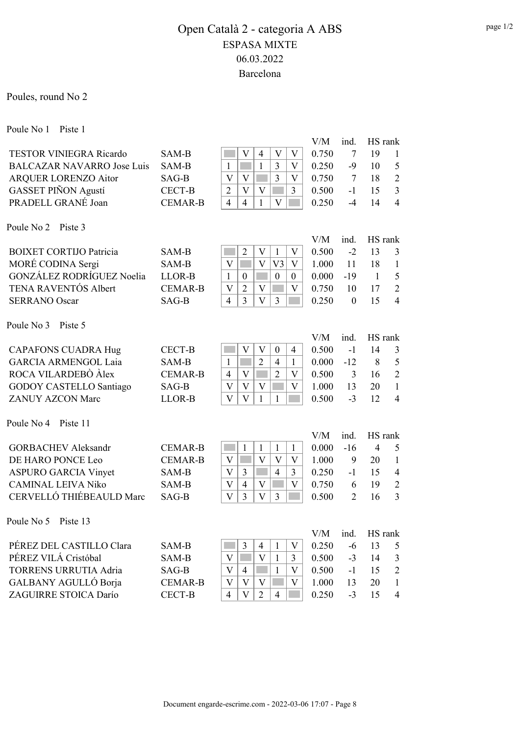Poules, round No 2

Poule No 1 Piste 1

|                                   |                |                                                                                      | V/M   | ind.           | HS rank        |                |
|-----------------------------------|----------------|--------------------------------------------------------------------------------------|-------|----------------|----------------|----------------|
| <b>TESTOR VINIEGRA Ricardo</b>    | SAM-B          | $\rm V$<br>$\overline{4}$<br>$\mathbf{V}$<br>V                                       | 0.750 | 7              | 19             | $\mathbf{1}$   |
| <b>BALCAZAR NAVARRO Jose Luis</b> | SAM-B          | $\mathbf{1}$<br>3<br>$\mathbf{1}$<br>$\mathbf{V}$                                    | 0.250 | $-9$           | 10             | 5              |
| <b>ARQUER LORENZO Aitor</b>       | SAG-B          | $\overline{3}$<br>$\overline{V}$<br>$\mathbf V$<br>V                                 | 0.750 | 7              | 18             | $\overline{2}$ |
| <b>GASSET PIÑON Agustí</b>        | <b>CECT-B</b>  | $\overline{V}$<br>$\overline{2}$<br>$\overline{\mathsf{V}}$<br>3                     | 0.500 | $-1$           | 15             | $\overline{3}$ |
| PRADELL GRANÉ Joan                | <b>CEMAR-B</b> | $\overline{4}$<br>$\overline{4}$<br>$\mathbf{1}$<br>$\mathbf{V}$                     | 0.250 | $-4$           | 14             | $\overline{4}$ |
| Poule No 2<br>Piste 3             |                |                                                                                      |       |                |                |                |
|                                   |                |                                                                                      | V/M   | ind.           | HS rank        |                |
| <b>BOIXET CORTIJO Patricia</b>    | SAM-B          | $\overline{2}$<br>$\boldsymbol{\mathrm{V}}$<br>V<br>$\mathbf{1}$                     | 0.500 | $-2$           | 13             | 3              |
| MORÉ CODINA Sergi                 | SAM-B          | $\overline{V}$<br>$\overline{V}$<br>V <sub>3</sub><br>V                              | 1.000 | 11             | 18             | $\mathbf{1}$   |
| GONZÁLEZ RODRÍGUEZ Noelia         | LLOR-B         | $\mathbf{1}$<br>$\boldsymbol{0}$<br>$\boldsymbol{0}$<br>$\boldsymbol{0}$             | 0.000 | $-19$          | -1             | 5              |
| <b>TENA RAVENTÓS Albert</b>       | <b>CEMAR-B</b> | $\overline{\mathsf{V}}$<br>$\overline{2}$<br>$\overline{\mathsf{V}}$<br>$\mathbf{V}$ | 0.750 | 10             | 17             | $\overline{2}$ |
| <b>SERRANO</b> Oscar              | SAG-B          | $\overline{4}$<br>$\overline{3}$<br>$\overline{\mathbf{V}}$<br>$\overline{3}$        | 0.250 | $\mathbf{0}$   | 15             | $\overline{4}$ |
| Poule No 3<br>Piste 5             |                |                                                                                      |       |                |                |                |
|                                   |                |                                                                                      | V/M   | ind.           | HS rank        |                |
| <b>CAPAFONS CUADRA Hug</b>        | <b>CECT-B</b>  | $\rm V$<br>$\rm V$<br>$\boldsymbol{0}$<br>4                                          | 0.500 | $-1$           | 14             | 3              |
| <b>GARCIA ARMENGOL Laia</b>       | SAM-B          | $\mathbf{1}$<br>$\overline{2}$<br>$\overline{4}$<br>1                                | 0.000 | $-12$          | 8              | 5              |
| ROCA VILARDEBÒ Àlex               | <b>CEMAR-B</b> | $\overline{2}$<br>$\overline{4}$<br>$\overline{\mathsf{V}}$<br>$\mathbf{V}$          | 0.500 | 3              | 16             | $\overline{2}$ |
| <b>GODOY CASTELLO Santiago</b>    | SAG-B          | $\overline{\mathsf{V}}$<br>$\mathbf{V}$<br>$\mathbf V$<br>$\boldsymbol{\mathrm{V}}$  | 1.000 | 13             | 20             | $\mathbf{1}$   |
| <b>ZANUY AZCON Marc</b>           | LLOR-B         | $\overline{V}$<br>$\overline{\mathsf{V}}$<br>1<br>1                                  | 0.500 | $-3$           | 12             | $\overline{4}$ |
| Poule No 4<br>Piste 11            |                |                                                                                      |       |                |                |                |
|                                   |                |                                                                                      | V/M   | ind.           | HS rank        |                |
| <b>GORBACHEV Aleksandr</b>        | <b>CEMAR-B</b> | $\mathbf{1}$<br>$\mathbf{1}$<br>$\mathbf{1}$<br>1                                    | 0.000 | $-16$          | $\overline{4}$ | 5              |
| DE HARO PONCE Leo                 | <b>CEMAR-B</b> | $\mathbf{V}$<br>V<br>$\rm V$<br>$\mathbf{V}$                                         | 1.000 | 9              | 20             | $\mathbf{1}$   |
| <b>ASPURO GARCIA Vinyet</b>       | SAM-B          | $\mathbf V$<br>3<br>$\overline{4}$<br>3                                              | 0.250 | $-1$           | 15             | $\overline{4}$ |
| <b>CAMINAL LEIVA Niko</b>         | SAM-B          | $\overline{\mathbf{V}}$<br>$\overline{\mathsf{V}}$<br>$\overline{4}$<br>$\mathbf V$  | 0.750 | 6              | 19             | $\overline{2}$ |
| CERVELLÓ THIÉBEAULD Marc          | SAG-B          | $\overline{\mathsf{V}}$<br>3<br>$\overline{\mathrm{V}}$<br>$\mathfrak{Z}$            | 0.500 | $\overline{2}$ | 16             | 3              |
| Poule No 5<br>Piste 13            |                |                                                                                      |       |                |                |                |
|                                   |                |                                                                                      | V/M   | ind.           | HS rank        |                |
| PÉREZ DEL CASTILLO Clara          | SAM-B          | 3<br>$\overline{4}$<br>$\boldsymbol{\mathrm{V}}$<br>1                                | 0.250 | $-6$           | 13             | 5              |
| PÉREZ VILÁ Cristóbal              | SAM-B          | $\overline{\mathsf{V}}$<br>$\overline{V}$<br>$\mathbf{1}$<br>3                       | 0.500 | $-3$           | 14             | $\mathfrak{Z}$ |
| <b>TORRENS URRUTIA Adria</b>      | SAG-B          | $\mathbf{V}$<br>V<br>$\mathbf{1}$<br>4                                               | 0.500 | $-1$           | 15             | $\sqrt{2}$     |
| GALBANY AGULLÓ Borja              | <b>CEMAR-B</b> | V<br>$\mathbf{V}$<br>$\boldsymbol{\mathrm{V}}$<br>$\mathbf{V}$                       | 1.000 | 13             | 20             | 1              |
| ZAGUIRRE STOICA Darío             | CECT-B         | $\overline{2}$<br>$\overline{V}$<br>$\overline{4}$<br>$\overline{4}$                 | 0.250 | $-3$           | 15             | 4              |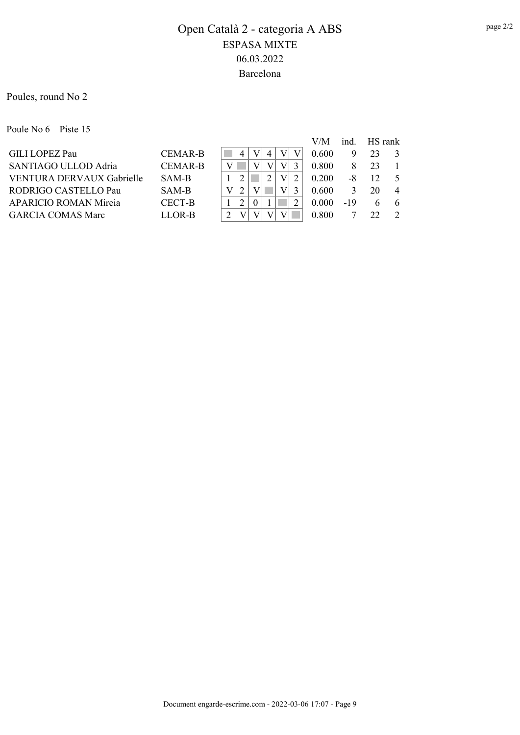Poules, round No 2

Poule No 6 Piste 15

|                              |                |  |  |  | V/M   | ind. | <b>HS</b> rank |                |
|------------------------------|----------------|--|--|--|-------|------|----------------|----------------|
| <b>GILI LOPEZ Pau</b>        | <b>CEMAR-B</b> |  |  |  | 0.600 | 9    | 23             | -3             |
| SANTIAGO ULLOD Adria         | <b>CEMAR-B</b> |  |  |  | 0.800 |      | 23             |                |
| VENTURA DERVAUX Gabrielle    | SAM-B          |  |  |  | 0.200 | -8   | 12             | $\sim$         |
| RODRIGO CASTELLO Pau         | SAM-B          |  |  |  | 0.600 |      | 20             | $\overline{4}$ |
| <b>APARICIO ROMAN Mireja</b> | CECT-B         |  |  |  | 0.000 | -19  |                | -6             |
| <b>GARCIA COMAS Marc</b>     | LLOR-B         |  |  |  | 0.800 |      | 22             | $\mathcal{D}$  |
|                              |                |  |  |  |       |      |                |                |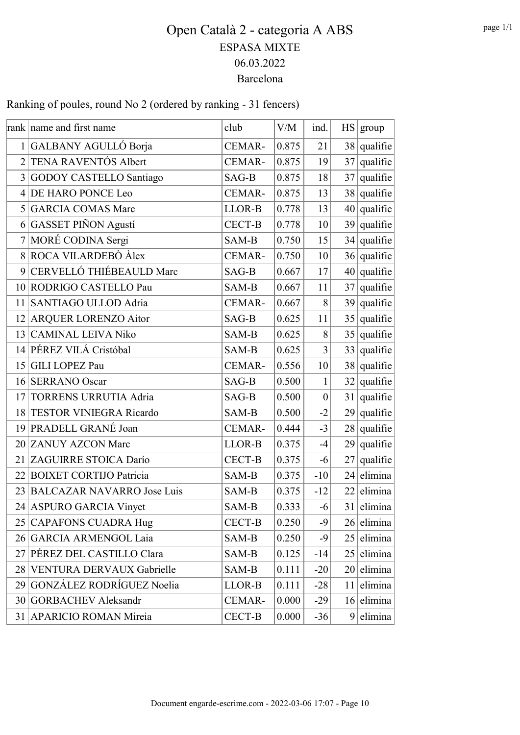Ranking of poules, round No 2 (ordered by ranking - 31 fencers)

|                 | rank name and first name       | club          | V/M   | ind.             |    | HS   group       |
|-----------------|--------------------------------|---------------|-------|------------------|----|------------------|
|                 | 1 GALBANY AGULLÓ Borja         | CEMAR-        | 0.875 | 21               |    | $38$ qualifie    |
| $\overline{2}$  | TENA RAVENTÓS Albert           | CEMAR-        | 0.875 | 19               | 37 | $ $ qualifie $ $ |
|                 | 3 GODOY CASTELLO Santiago      | SAG-B         | 0.875 | 18               |    | $37$ qualifie    |
| 4 <sup>1</sup>  | DE HARO PONCE Leo              | <b>CEMAR-</b> | 0.875 | 13               |    | $38  $ qualifie  |
|                 | 5 GARCIA COMAS Marc            | LLOR-B        | 0.778 | 13               |    | $40$ qualifie    |
| 6 <sup>1</sup>  | <b>GASSET PIÑON Agustí</b>     | <b>CECT-B</b> | 0.778 | 10               |    | $39  $ qualifie  |
|                 | 7 MORÉ CODINA Sergi            | SAM-B         | 0.750 | 15               |    | $34  $ qualifie  |
| 8               | ROCA VILARDEBÒ Àlex            | CEMAR-        | 0.750 | 10               |    | $36$ qualifie    |
| 9               | CERVELLÓ THIÉBEAULD Marc       | SAG-B         | 0.667 | 17               |    | $40$ qualifie    |
| 10 <sup>1</sup> | RODRIGO CASTELLO Pau           | SAM-B         | 0.667 | 11               |    | $37$ qualifie    |
| 11              | SANTIAGO ULLOD Adria           | <b>CEMAR-</b> | 0.667 | 8                |    | $39$ qualifie    |
| 12              | <b>ARQUER LORENZO Aitor</b>    | SAG-B         | 0.625 | 11               |    | $35$ qualifie    |
|                 | 13 CAMINAL LEIVA Niko          | SAM-B         | 0.625 | 8                |    | $35$ qualifie    |
|                 | 14 PÉREZ VILÁ Cristóbal        | SAM-B         | 0.625 | 3                |    | $33$ qualifie    |
|                 | 15 GILI LOPEZ Pau              | CEMAR-        | 0.556 | 10               |    | $38$ qualifie    |
| 16 <sup>2</sup> | <b>SERRANO Oscar</b>           | SAG-B         | 0.500 | 1                |    | $32$ qualifie    |
| 17              | <b>TORRENS URRUTIA Adria</b>   | SAG-B         | 0.500 | $\boldsymbol{0}$ |    | $31$ qualifie    |
| 18 <sup>2</sup> | TESTOR VINIEGRA Ricardo        | SAM-B         | 0.500 | $-2$             |    | $29$ qualifie    |
|                 | 19 PRADELL GRANÉ Joan          | CEMAR-        | 0.444 | $-3$             |    | $28$ qualifie    |
|                 | 20 ZANUY AZCON Marc            | LLOR-B        | 0.375 | $-4$             |    | $29$ qualifie    |
|                 | 21 ZAGUIRRE STOICA Darío       | <b>CECT-B</b> | 0.375 | $-6$             |    | $27$ qualifie    |
| 22              | <b>BOIXET CORTIJO Patricia</b> | SAM-B         | 0.375 | $-10$            |    | $24$ elimina     |
|                 | 23 BALCAZAR NAVARRO Jose Luis  | SAM-B         | 0.375 | $-12$            |    | 22 elimina       |
|                 | 24 ASPURO GARCIA Vinyet        | SAM-B         | 0.333 | $-6$             |    | $31$ elimina     |
|                 | 25 CAPAFONS CUADRA Hug         | CECT-B        | 0.250 | -9               |    | $26$  elimina    |
|                 | 26 GARCIA ARMENGOL Laia        | SAM-B         | 0.250 | -9               |    | $25$ elimina     |
|                 | 27 PÉREZ DEL CASTILLO Clara    | SAM-B         | 0.125 | $-14$            |    | $25$  elimina    |
|                 | 28 VENTURA DERVAUX Gabrielle   | SAM-B         | 0.111 | $-20$            |    | $20$  elimina    |
|                 | 29 GONZÁLEZ RODRÍGUEZ Noelia   | LLOR-B        | 0.111 | $-28$            |    | $11$  elimina    |
|                 | 30 GORBACHEV Aleksandr         | CEMAR-        | 0.000 | $-29$            |    | $16$  elimina    |
|                 | 31 APARICIO ROMAN Mireia       | CECT-B        | 0.000 | $-36$            |    | $9$  elimina     |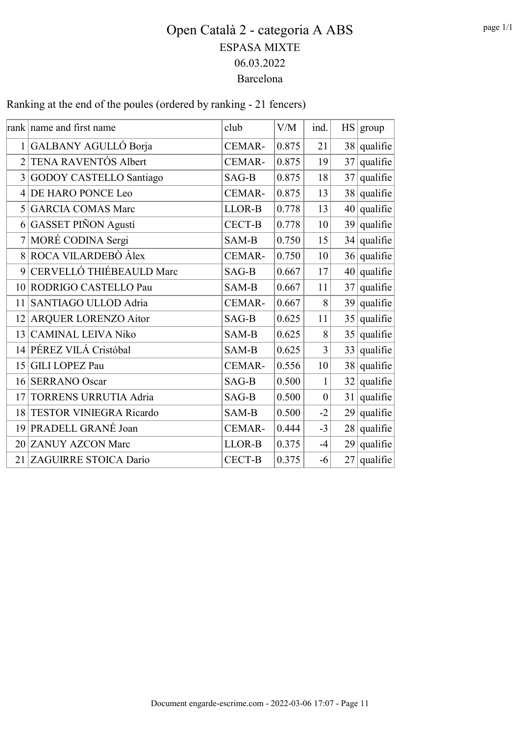Ranking at the end of the poules (ordered by ranking - 21 fencers)

|                 | rank name and first name       | club          | V/M   | ind.             | HS   group    |
|-----------------|--------------------------------|---------------|-------|------------------|---------------|
|                 | 1 GALBANY AGULLÓ Borja         | CEMAR-        | 0.875 | 21               | $38$ qualifie |
| $\overline{2}$  | TENA RAVENTÓS Albert           | CEMAR-        | 0.875 | 19               | $37$ qualifie |
| $\overline{3}$  | <b>GODOY CASTELLO Santiago</b> | SAG-B         | 0.875 | 18               | $37$ qualifie |
| $\overline{4}$  | DE HARO PONCE Leo              | CEMAR-        | 0.875 | 13               | $38$ qualifie |
| 5               | <b>GARCIA COMAS Marc</b>       | LLOR-B        | 0.778 | 13               | $40$ qualifie |
| 6               | <b>GASSET PIÑON Agustí</b>     | <b>CECT-B</b> | 0.778 | 10               | $39$ qualifie |
| 7               | MORÉ CODINA Sergi              | SAM-B         | 0.750 | 15               | $34$ qualifie |
|                 | 8 ROCA VILARDEBÒ Àlex          | CEMAR-        | 0.750 | 10               | $36$ qualifie |
| 9               | CERVELLÓ THIÉBEAULD Marc       | SAG-B         | 0.667 | 17               | $40$ qualifie |
| 10 <sup>1</sup> | RODRIGO CASTELLO Pau           | SAM-B         | 0.667 | 11               | $37$ qualifie |
| 11              | SANTIAGO ULLOD Adria           | CEMAR-        | 0.667 | 8                | $39$ qualifie |
| 12              | <b>ARQUER LORENZO Aitor</b>    | SAG-B         | 0.625 | 11               | $35$ qualifie |
| 13              | <b>CAMINAL LEIVA Niko</b>      | SAM-B         | 0.625 | 8                | $35$ qualifie |
|                 | 14 PÉREZ VILÁ Cristóbal        | SAM-B         | 0.625 | $\overline{3}$   | $33$ qualifie |
| 15              | <b>GILI LOPEZ Pau</b>          | <b>CEMAR-</b> | 0.556 | 10               | $38$ qualifie |
| 16              | <b>SERRANO</b> Oscar           | SAG-B         | 0.500 | $\mathbf{1}$     | $32$ qualifie |
| 17              | TORRENS URRUTIA Adria          | SAG-B         | 0.500 | $\boldsymbol{0}$ | $31$ qualifie |
| 18 <sup>1</sup> | <b>TESTOR VINIEGRA Ricardo</b> | SAM-B         | 0.500 | $-2$             | $29$ qualifie |
| 19              | PRADELL GRANÉ Joan             | CEMAR-        | 0.444 | $-3$             | $28$ qualifie |
|                 | 20 ZANUY AZCON Marc            | LLOR-B        | 0.375 | $-4$             | $29$ qualifie |
|                 | 21 ZAGUIRRE STOICA Darío       | <b>CECT-B</b> | 0.375 | $-6$             | $27$ qualifie |